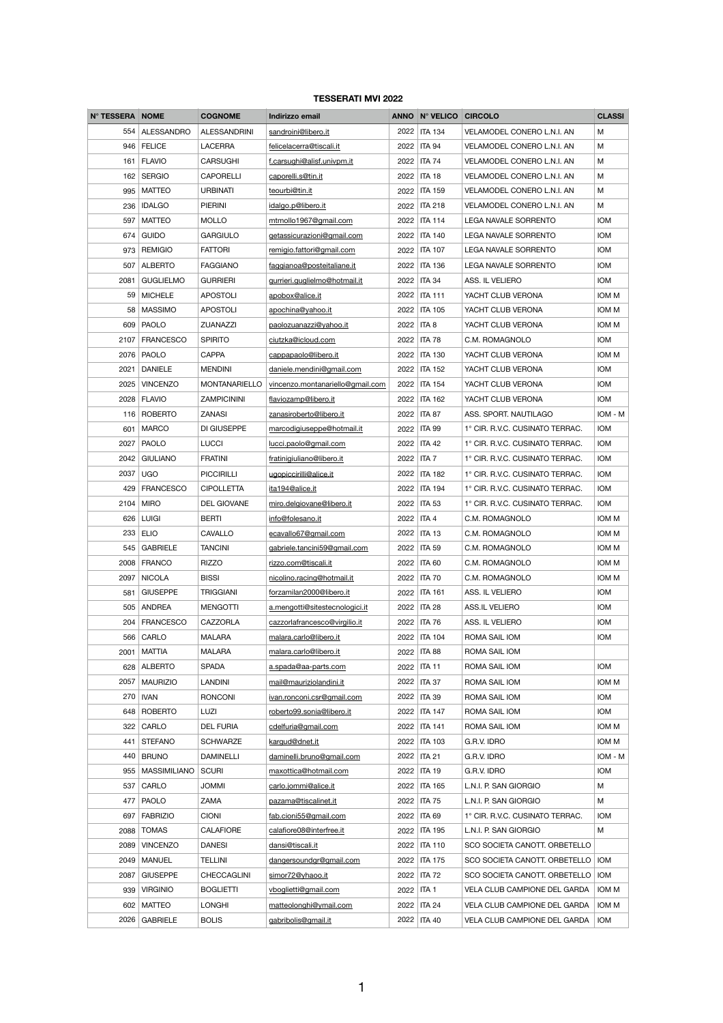## **TESSERATI MVI 2022**

| N° TESSERA NOME |                   | <b>COGNOME</b>       | Indirizzo email                  |      | ANNO Nº VELICO CIRCOLO |                                     | <b>CLASSI</b> |
|-----------------|-------------------|----------------------|----------------------------------|------|------------------------|-------------------------------------|---------------|
| 554             | <b>ALESSANDRO</b> | <b>ALESSANDRINI</b>  | sandroini@libero.it              | 2022 | <b>ITA 134</b>         | VELAMODEL CONERO L.N.I. AN          | М             |
| 946             | <b>FELICE</b>     | <b>LACERRA</b>       | felicelacerra@tiscali.it         | 2022 | <b>ITA 94</b>          | VELAMODEL CONERO L.N.I. AN          | М             |
| 161             | <b>FLAVIO</b>     | <b>CARSUGHI</b>      | f.carsughi@alisf.univpm.it       | 2022 | <b>ITA 74</b>          | VELAMODEL CONERO L.N.I. AN          | М             |
|                 | 162   SERGIO      | <b>CAPORELLI</b>     | caporelli.s@tin.it               | 2022 | <b>ITA 18</b>          | VELAMODEL CONERO L.N.I. AN          | М             |
| 995             | <b>MATTEO</b>     | <b>URBINATI</b>      | teourbi@tin.it                   | 2022 | <b>ITA 159</b>         | <b>VELAMODEL CONERO L.N.I. AN</b>   | М             |
| 236             | <b>IDALGO</b>     | <b>PIERINI</b>       | idalgo.p@libero.it               | 2022 | <b>ITA 218</b>         | VELAMODEL CONERO L.N.I. AN          | М             |
| 597             | <b>MATTEO</b>     | <b>MOLLO</b>         | mtmollo1967@gmail.com            | 2022 | <b>ITA 114</b>         | LEGA NAVALE SORRENTO                | <b>IOM</b>    |
| 674             | <b>GUIDO</b>      | <b>GARGIULO</b>      | getassicurazioni@gmail.com       | 2022 | <b>ITA 140</b>         | LEGA NAVALE SORRENTO                | <b>IOM</b>    |
| 973             | <b>REMIGIO</b>    | <b>FATTORI</b>       | remigio.fattori@gmail.com        | 2022 | <b>ITA 107</b>         | <b>LEGA NAVALE SORRENTO</b>         | <b>IOM</b>    |
|                 | 507 ALBERTO       | <b>FAGGIANO</b>      | faggianoa@posteitaliane.it       | 2022 | <b>ITA 136</b>         | <b>LEGA NAVALE SORRENTO</b>         | <b>IOM</b>    |
| 2081            | <b>GUGLIELMO</b>  | <b>GURRIERI</b>      | gurrieri.guglielmo@hotmail.it    | 2022 | <b>ITA 34</b>          | ASS. IL VELIERO                     | <b>IOM</b>    |
| 59              | <b>MICHELE</b>    | <b>APOSTOLI</b>      | apobox@alice.it                  | 2022 | <b>ITA 111</b>         | YACHT CLUB VERONA                   | IOM M         |
| 58              | <b>MASSIMO</b>    | <b>APOSTOLI</b>      | apochina@yahoo.it                | 2022 | <b>ITA 105</b>         | YACHT CLUB VERONA                   | IOM M         |
| 609             | PAOLO             | <b>ZUANAZZI</b>      | paolozuanazzi@yahoo.it           | 2022 | ITA <sub>8</sub>       | YACHT CLUB VERONA                   | IOM M         |
| 2107            | <b>FRANCESCO</b>  | <b>SPIRITO</b>       | ciutzka@icloud.com               | 2022 | <b>ITA 78</b>          | C.M. ROMAGNOLO                      | <b>IOM</b>    |
|                 | 2076   PAOLO      | <b>CAPPA</b>         | cappapaolo@libero.it             | 2022 | <b>ITA 130</b>         | YACHT CLUB VERONA                   | IOM M         |
| 2021            | <b>DANIELE</b>    | <b>MENDINI</b>       | daniele.mendini@gmail.com        | 2022 | <b>ITA 152</b>         | YACHT CLUB VERONA                   | <b>IOM</b>    |
| 2025            | <b>VINCENZO</b>   | <b>MONTANARIELLO</b> | vincenzo.montanariello@gmail.com | 2022 | <b>ITA 154</b>         | YACHT CLUB VERONA                   | <b>IOM</b>    |
|                 | 2028   FLAVIO     | <b>ZAMPICININI</b>   | flaviozamp@libero.it             | 2022 | <b>ITA 162</b>         | YACHT CLUB VERONA                   | <b>IOM</b>    |
| 116             | ROBERTO           | <b>ZANASI</b>        | zanasiroberto@libero.it          | 2022 | <b>ITA 87</b>          | ASS. SPORT. NAUTILAGO               | IOM - M       |
| 601             | <b>MARCO</b>      | DI GIUSEPPE          | marcodigiuseppe@hotmail.it       | 2022 | <b>ITA 99</b>          | 1° CIR. R.V.C. CUSINATO TERRAC.     | <b>IOM</b>    |
| 2027            | PAOLO             | <b>LUCCI</b>         | lucci.paolo@gmail.com            |      | 2022   ITA 42          | 1° CIR. R.V.C. CUSINATO TERRAC.     | <b>IOM</b>    |
| 2042            | <b>GIULIANO</b>   | <b>FRATINI</b>       | fratinigiuliano@libero.it        | 2022 | ITA 7                  | 1° CIR. R.V.C. CUSINATO TERRAC.     | <b>IOM</b>    |
| 2037            | <b>UGO</b>        | <b>PICCIRILLI</b>    | ugopiccirilli@alice.it           | 2022 | <b>ITA 182</b>         | 1° CIR. R.V.C. CUSINATO TERRAC.     | <b>IOM</b>    |
| 429             | <b>FRANCESCO</b>  | <b>CIPOLLETTA</b>    | ita194@alice.it                  | 2022 | <b>ITA 194</b>         | 1° CIR. R.V.C. CUSINATO TERRAC.     | <b>IOM</b>    |
| 2104            | <b>MIRO</b>       | <b>DEL GIOVANE</b>   | miro.delgiovane@libero.it        | 2022 | <b>ITA 53</b>          | 1° CIR. R.V.C. CUSINATO TERRAC.     | <b>IOM</b>    |
| 626             | <b>LUIGI</b>      | <b>BERTI</b>         | info@folesano.it                 | 2022 | ITA 4                  | C.M. ROMAGNOLO                      | IOM M         |
| 233             | <b>ELIO</b>       | <b>CAVALLO</b>       | ecavallo67@gmail.com             | 2022 | <b>ITA 13</b>          | C.M. ROMAGNOLO                      | IOM M         |
| 545             | <b>GABRIELE</b>   | <b>TANCINI</b>       | gabriele.tancini59@gmail.com     | 2022 | <b>ITA 59</b>          | C.M. ROMAGNOLO                      | IOM M         |
| 2008            | FRANCO            | <b>RIZZO</b>         | rizzo.com@tiscali.it             | 2022 | <b>ITA 60</b>          | C.M. ROMAGNOLO                      | IOM M         |
| 2097            | <b>NICOLA</b>     | <b>BISSI</b>         | nicolino.racing@hotmail.it       | 2022 | <b>ITA 70</b>          | C.M. ROMAGNOLO                      | IOM M         |
| 581             | <b>GIUSEPPE</b>   | <b>TRIGGIANI</b>     | forzamilan2000@libero.it         | 2022 | <b>ITA 161</b>         | ASS. IL VELIERO                     | <b>IOM</b>    |
| 505             | <b>ANDREA</b>     | <b>MENGOTTI</b>      | a.mengotti@sitestecnologici.it   | 2022 | <b>ITA 28</b>          | <b>ASS.IL VELIERO</b>               | <b>IOM</b>    |
| 204             | <b>FRANCESCO</b>  | <b>CAZZORLA</b>      | cazzorlafrancesco@virgilio.it    | 2022 | <b>ITA 76</b>          | ASS. IL VELIERO                     | <b>IOM</b>    |
| 566             | CARLO             | <b>MALARA</b>        | malara.carlo@libero.it           | 2022 | <b>ITA 104</b>         | ROMA SAIL IOM                       | <b>IOM</b>    |
| 2001            | <b>MATTIA</b>     | <b>MALARA</b>        | malara.carlo@libero.it           | 2022 | <b>ITA 88</b>          | ROMA SAIL IOM                       |               |
| 628             | <b>ALBERTO</b>    | <b>SPADA</b>         | a.spada@aa-parts.com             | 2022 | <b>ITA 11</b>          | ROMA SAIL IOM                       | <b>IOM</b>    |
| 2057            | <b>MAURIZIO</b>   | <b>LANDINI</b>       | mail@mauriziolandini.it          | 2022 | <b>ITA 37</b>          | ROMA SAIL IOM                       | IOM M         |
| 270             | <b>IVAN</b>       | <b>RONCONI</b>       | ivan.ronconi.csr@gmail.com       | 2022 | <b>ITA 39</b>          | ROMA SAIL IOM                       | <b>IOM</b>    |
| 648             | ROBERTO           | LUZI                 | roberto99.sonia@libero.it        | 2022 | <b>ITA 147</b>         | ROMA SAIL IOM                       | <b>IOM</b>    |
| 322             | CARLO             | <b>DEL FURIA</b>     | cdelfuria@gmail.com              | 2022 | <b>ITA 141</b>         | ROMA SAIL IOM                       | IOM M         |
| 441             | <b>STEFANO</b>    | <b>SCHWARZE</b>      | kargud@dnet.it                   | 2022 | <b>ITA 103</b>         | G.R.V. IDRO                         | IOM M         |
| 440             | <b>BRUNO</b>      | <b>DAMINELLI</b>     | daminelli.bruno@gmail.com        | 2022 | <b>ITA 21</b>          | G.R.V. IDRO                         | IOM - M       |
| 955             | MASSIMILIANO      | SCURI                | maxottica@hotmail.com            |      | 2022   ITA 19          | G.R.V. IDRO                         | <b>IOM</b>    |
| 537             | CARLO             | <b>JOMMI</b>         | carlo.jommi@alice.it             | 2022 | <b>ITA 165</b>         | L.N.I. P. SAN GIORGIO               | M             |
| 477             | PAOLO             | <b>ZAMA</b>          | pazama@tiscalinet.it             | 2022 | <b>ITA 75</b>          | L.N.I. P. SAN GIORGIO               | M             |
| 697             | <b>FABRIZIO</b>   | <b>CIONI</b>         | fab.cioni55@gmail.com            | 2022 | <b>ITA 69</b>          | 1° CIR. R.V.C. CUSINATO TERRAC.     | <b>IOM</b>    |
| 2088            | <b>TOMAS</b>      | <b>CALAFIORE</b>     | calafiore08@interfree.it         | 2022 | <b>ITA 195</b>         | L.N.I. P. SAN GIORGIO               | M             |
| 2089            | <b>VINCENZO</b>   | <b>DANESI</b>        | dansi@tiscali.it                 | 2022 | <b>ITA 110</b>         | SCO SOCIETA CANOTT. ORBETELLO       |               |
| 2049            | <b>MANUEL</b>     | <b>TELLINI</b>       | dangersoundgr@gmail.com          | 2022 | <b>ITA 175</b>         | SCO SOCIETA CANOTT. ORBETELLO       | <b>IOM</b>    |
| 2087            | <b>GIUSEPPE</b>   | CHECCAGLINI          | simor72@yhaoo.it                 | 2022 | <b>ITA 72</b>          | SCO SOCIETA CANOTT. ORBETELLO       | <b>IOM</b>    |
| 939             | <b>VIRGINIO</b>   | <b>BOGLIETTI</b>     | vboglietti@gmail.com             | 2022 | ITA <sub>1</sub>       | <b>VELA CLUB CAMPIONE DEL GARDA</b> | IOM M         |
| 602             | <b>MATTEO</b>     | <b>LONGHI</b>        | matteolonghi@ymail.com           | 2022 | <b>ITA 24</b>          | VELA CLUB CAMPIONE DEL GARDA        | IOM M         |
|                 | 2026 GABRIELE     | <b>BOLIS</b>         | gabribolis@gmail.it              | 2022 | <b>ITA 40</b>          | VELA CLUB CAMPIONE DEL GARDA        | <b>IOM</b>    |